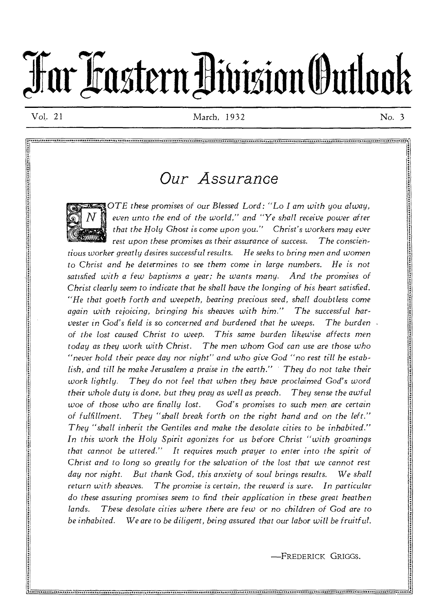# **TarlitsteravisionOuttook**

n an an an amhailleach an amhailleach an amhainn an amhainn an amhainn an amhainn an amhainn an amhainn an amhainn an

Vol. 21 March, 1932 No. 3

## *Our Assurance*



even unto the end of the world," and "Ye shall receive power after *that the Holy Ghost is come upon you." Christ's workers may ever rest upon these promises as their assurance of success. The conscientious worker greatly desires successful results. He seeks to bring men and women*  to Christ and he determines to see them come in large numbers. He is not *satisfied with a few baptisms a year; he wants many. And the promises of Christ clearly seem to indicate that he shall have the longing of his heart satisfied. "He that goeth forth and weepeth, bearing precious seed, shall doubtless come again with rejoicing, bringing his sheaves with him." The successful harvester in God's field is so concerned and burdened that he weeps. The burden of the lost caused Christ to weep. This same burden likewise affects men today as they work with Christ. The men whom* God *can use are those who "never hold their peace day nor night" and who give* God *"no rest till he establish, and till he make Jerusalem a praise in the earth." They do not take their work lightly. They do not feel that when they have proclaimed God's word their whole duty is done, but they pray as well as preach. They sense the awful woe of those who are finally lost. God's promises to such men, are certain of fulfillment. They "shall break forth on the right hand and on the left." They "shall inherit the Gentiles and make the desolate cities to be inhabited." In this work the Holy Spirit agonizes for us before Christ "with groanings that cannot be uttered." It requires much prayer to enter into the spirit of Christ and to long so greatly for the salvation of the lost that we cannot rest day nor night. But thank God, this anxiety of soul brings results. We shall return with sheaves. The promise is certain, the reward is sure. In particular do these assuring promises seem to find their application in these great heathen lands. These desolate cities where there are few* or no *children of* God *are to be inhabited. We are to be diligent, being assured that our labor will be fruitful.* 

-FREDERICK GRIGGS.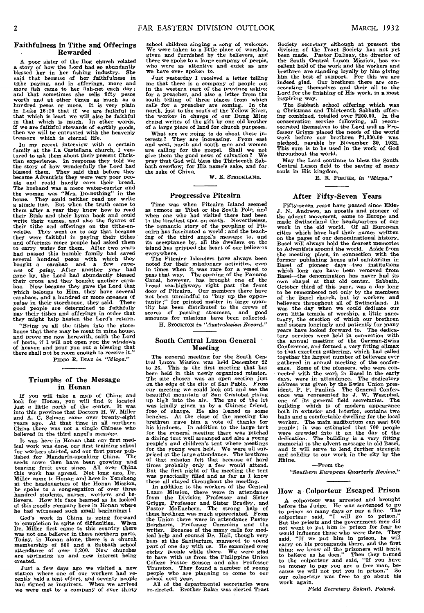#### **Faithfulness in Tithe and Offerings Rewarded •**

A poor sister of the Dog church related a story of how the Lord had so abundantly blessed her in her fishing industry. She said that because of her faithfulness in tithe paying, and in offerings, more and more fish came to her fish-net each day; and in and that in that which is much. In other words, if we are faithful stewards of earthly goods, then we will be entrusted with the heavenly treasure which is eternal life.

In my recent interview with a certain family at the La Castellana church, I ventured to ask them about their present Christian experience. In response they told me the story of how wonderfully the Lord had blessed them. They said that before they became Adventists they were very Poor peo-ple and could hardly earn their bread. The husband was a mere water-carrier and<br>the woman was "Mrs. Do-nothing" in the<br>home. They could neither read nor write<br>a single line. But when the truth came to<br>them after a year they knew how to read<br>their Bible and thei write their names, and also the figures of their tithe and offerings on the tithe-en-velope. They went on to say that because they were faithful in paying their tithes and offerings more people had asked them to carry water for them. After two years had passed this humble family had saved several hundred Pesos with which they bought a carabao and a few *cavanes* of *palay.* After another year had gone by, the Lord had abundantly blessed their crops and they bought another carabao. Now because they gave the Lord that which belongs to Him, they have several carabaos, and a hundred or more *cavanes of palay* in their storehouse, they said. These good people are determined to faithfully *pay* their tithes and offerings in order that they might help hasten the Lord's return.

"Bring ye all the tithes into the store-house that there may be meat in mine house, and prove me now herewith, saith the Lord of hosts, if I will not open you the windows of heaven and pour you out a blessing that there shall not be room enough to receive it. PEDRO R. DIAZ in "Mizpa."

#### **Triumphs of the Message in Honan**

If you will take a map of China and look for Honan, you will find it located just a little north of the center. It was into this province that Doctors H. **W.** Miller and A. C. Selmon came over twenty-eight years ago. At that time in all northern China there was not a single Chinese who believed in the third angel's message.

It was here in Honan that our first medical work was done, our first training school for workers started, and our first paper pub-lished for Mandarin-speaking China. The seeds sown then have been growing and bearing fruit ever since. All over China spread. Not long ago, Dr. Miller came to Honan and here in Yencheng at the headquarters of the Honan Mission, he spoke to a congregation of over three hundred students, nurses, workers and be-lievers. How his face beamed as he looked at this goodly company here in Honan where he had witnessed such small beginnings !

God's work in China is going forward<br>to completion in spite of difficulties. When<br>Dr. Miller first came to this country there<br>was not one believer in these nothern parts.<br>Today, in Honan alone, there is a church<br>membership created.

Just a few days ago we visited a new station where one of our workers had re-cently held a tent effort, and seventy people had signed as inquirers. When we arrived we were met by a company of over thirty

school children singing a song of welcome. We were taken to a little place of worship, given and furnished by the believers, and there we spoke to a large company of peopie, who were as attentive and quiet as any we have ever spoken to.

Just yesterday I received a letter telling me that there is a company of people out in the western part of the province asking<br>for a preacher, and also a letter from the<br>south telling of three places from which<br>calls for a preacher are coming. In the<br>north, just to the south of the Yellow River, the worker in charge of our Dung Ming chapel writes of the gift by one old brother of a large piece of land for church purposes.

What are we going to do about these interests ? They are increasing. From east and west, north and south men and women are calling for the gospel. Shall we not give them the good news of salvation? We pray that God will bless the Thirteenth Sab-bath overflow; for His name's sake, and for the sake of China.

**W.** E. STRICKLAND.

#### **Progressive Pitcairn**

Time was when Pitcairn Island seemed as remote as Tibet or the South Pole, and when one who had visited there had been to the loneliest spot on earth. Nevertheless, the romantic story of the peopling of Pit-cairn has fascinated a world ; and the teaching of the third angel's message to, and its acceptance by, all the dwellers on the island has gripped the heart of our believers

everywhere.<br>The Pitcairn Islanders have always been<br>moted for their missionary activities, even<br>in times when it was rare for a vessel to<br>pass that way. The opening of the Panama<br>Canal, however, has brought one of the<br>bro tity has been distributed to the crews of scores of passing steamers, and good amounts for missions have been collected.

H. STOCKTON in "Australasian Record."

#### **South Central Luzon General Meeting**

The general meeting for the South Central Luzon Mission was held December 22 26. This is the first meeting that has been held in this newly organized mission.<br>The site chosen was an open section just on the edge of the city of San Pablo. From our meeting we could look out and see the beautiful mountain of San Cristobal rising buy high into the air. The use of the lot was kindly given us by a Chinese friend, free of charge. He also loaned us some benches. At the close of the meeting the brethren gave him a vote of thanks for this kindness. In ad for the general meeting there was pitched a dining tent well arranged and also a young People's and children's tent where meetings for the young were held. We were all sur-prised at the large attendance. The brethren of that mission felt that because of hard times probably only a few would attend. But the first night of the meeting the tent was practically filled and as far as I know these all stayed throughout the meeting.

In addition to the workers of the Central Luzon Mission, there were in attendance from the Division Professor and Sister Griggs, Professor and Sister Bradley, and Pastor McEachern. The strong help of these brethren *was* much appreciated. From the Union there were in attendance Pastor Bergherm, Professor Cummins and the writer. Because of the many calls for medical help and counsel Dr. Hall, though very busy at the Sanitarium, managed to spend part of one day with us. He examined over eighty people while there. We were glad to have with us from the Philippine Union College Pastor Senson and also Professor Thurston. They found a number of young people who are planning to come to our school next year.

All of the departmental secretaries were re-elected. Brother Balan was elected Tract

Society secretary although at present the division of the Tract Society has not yet been made. Pastor Dalisay, the director of the South Central Luzon Mission, has ex-cellent hold of the work and the workers and brethren are standing loyally by him giving him the best of support. For this we are indeed glad. Our brethren there are con-secrating themselves and their all to the Lord for the finishing of His work, in a most inspiring way.

The Sabbath school offering which was a Christmas and Thirteenth Sabbath offer-ing combined, totalled over ?200.00. In the consecration service following, all recon-secrated themselves to the Lord and as Professor Griggs placed the needs of the world work before our brethren **P**1,030.00 was pledged, payable by November 30, 1932. This sum is to be used in the work of God throughout the world.

May the Lord continue to bless the South Central Luzon field to the saving of many souls in His kingdom.

R. R. FIGUHR, in *"Mizpa."* 

#### **After Fifty-Seven Years**

Fifty-seven years have passed since Elder J. N. Andrews, an apostle and pioneer of the advent movement, came to Europe and made Switzerland the headquarters of our work in the old world. Of all European cities which have had their names written on the pages of our denominational history, Basel will alway to Adventists around the world. Aside from the meeting place, in connection with the former publishing house and sanitarium in Basel of pioneer days—two institutions<br>which long ago have been removed from<br>Basel—the denomination has never had its<br>won chapel at that old center. Sabbath,<br>October third of this year, was a day long<br>to be remembered not believers throughout all of Switzerland. It was the day when we could dedicate our own little temple of worship, a little sanc-tuary, the erection of which our brethren and sisters longingly and patiently for many years have looked forward to. The dedicatory services were held in connection with the annual meeting of the German-Swiss Conference, and formed a very fitting climax to that excellent gathering, which had called together the largest number of believers ever gathered in annual meeting of the conference. Some of the pioneers, who were con-<br>nected with the work in Basel in the early<br>days, were in attendance. The dedicatory<br>adöress was given by the Swiss Union pres-<br>ident, P. P. Paulini. The General Confer-<br>ence was re halls and a comfortable dwelling for the local worker. The main auditorium can seat 500 people were crowded into it on the day of the decleation. The building is a very fitting dedication. The building is a very fitting me and it will serve to lend further strength and solidity to our work in the city by the Rhine.

—From the

*"Southern European Quarterly Review."* 

## **How a - Colporteur Escaped Prison**

**A** colporteur *was* arrested and brought before the Judge. He was sentenced to go to prison so many days or pay a fine. The colporteur said, "I will go to prison." But the priests and the government men did not want to Put him in prison for fear he would influence those who were there. They said, "If we put him in prison, he will carry on his propaganda there, and the first thing we know all the prisoners will begin to believe as he does." Then they turned to the colporteur and said, "If you have no money to pay you are *a free* man, be-cause we will not put you in prison." So was free to go about his our colporteur<br>work again.

*Field Secretary Saknit, Poland.*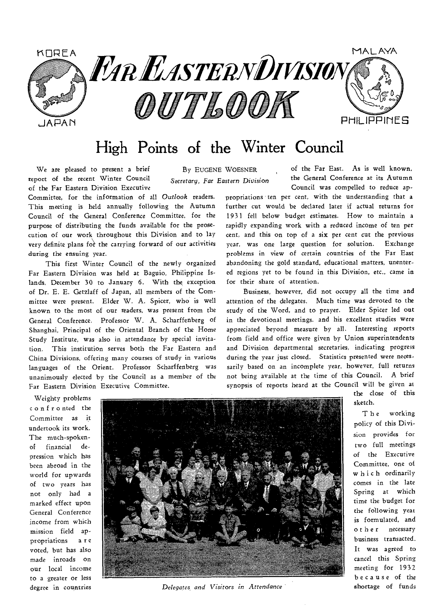

## High Points of the Winter Council

We are pleased to present a brief By EUGENE WOESNER report of the recent Winter Council *Secretary, Far Eastern Division*  of the Far Eastern Division Executive

Committee, for the information of all *Outlook* readers. This meeting is held annually following the Autumn Council of the General Conference Committee, for the purpose of distributing the funds available for the prosecution of our work throughout this Division and to lay very definite plans for the carrying forward of our activities during the ensuing year.

This first Winter Council of the newly organized Far Eastern Division was held at Baguio, Philippine Islands, December 30 to January 6. With the exception of Dr. E. E. Getzlaff of Japan, all members of the Committee were present. Elder W. A. Spicer, who is well known to the most of our readers, was present from the General Conference. Professor W. A. Scharffenberg of Shanghai, Principal of the Oriental Branch of the Home Study Institute, was also in attendance by special invitation. This institution serves both the Far Eastern and China Divisions, offering many courses of study in various languages of the Orient. Professor Scharffenberg was unanimously elected by the Council as a member of the Far Eastern Division Executive Committee.

of the Far East. As is well known, the General Conference at its Autumn Council was compelled to reduce ap-

propriations ten per cent, with the understanding that a further cut would be declared later if actual returns for 1931 fell below budget estimates. How to maintain a rapidly expanding work with *a* reduced income of ten per cent, and this on top of a six per cent cut the previous year, was one large question for solution. Exchange problems in view of certain countries of the Far East abandoning the gold standard, educational matters, unentered regions yet to be found in this Division, etc., came in for their share of attention.

Business, however, did not occupy all the time and attention of the delegates. Much time was devoted to the study of the Word, and to prayer. Elder Spicer led out in the devotional meetings. and his excellent studies were appreciated beyond measure by all. Interesting reports from field and office were given by Union superintendents and Division departmental secretaries, indicating progress during the year just closed. Statistics presented were necessarily based on an incomplete year, however, full returns not being available at the time of this Council. A brief synopsis of reports heard at the Council will be given *at* 

Weighty problems confronted the Committee as it undertook its work. The much-spokenof financial depression which has been abroad in the world for upwards of two years has not only had a marked effect upon General Conference income from which mission field appropriations a r e voted, but has also made inroads on our local income to a greater or less degree in countries



*Delegates, and Visitors in Attendance* 

sketch. the close of this

The working policy of this Division provides for two full meetings of the Executive Committee, one of which ordinarily comes in the late Spring at which time the budget for the following yeat is formulated, and other necessary business transacted. It was agreed to cancel this Spring meeting for 1932 because of the shortage of funds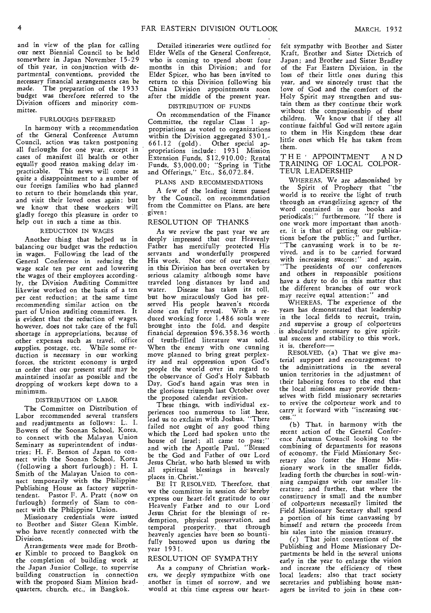and in view of the plan for calling our next Biennial Council to be held somewhere in Japan November 15-29 of this year, in conjunction with departmental conventions, provided the necessary financial arrangements can be made. The preparation of the 1933 budget was therefore referred to the Division officers and minority committee.

#### FURLOUGHS DEFERRED

In harmony with a recommendation of the General Conference Autumn Council, action was taken postponing all furloughs for one year, except in cases of manifest ill health or other equally good reason making delay im practicable. This news will come as quite a disappointment to a number of our foreign families who had planned to return to their homelands this year, and visit their loved ones again; but we know that these workers will gladly forego this pleasure in order to help out in such a time as this.

#### REDUCTION IN WAGES

Another thing that helped us in balancing our budget was the reduction in wages. Following the lead of the General Conference in reducing the wage *scale* ten *per* cent and lowering the wages of their employees according ly, the Division Auditing Committee likewise worked on the basis of a ten per cent reduction; at the same time recommending similar action on the part of Union auditing committees. It is evident that the reduction of wages, however, does not take care of the full shortage in appropriations, because of other expenses such as travel, office supplies, postage, etc. While some reduction is necessary in our working forces, the strictest economy is urged in order that our present staff may be maintained insofar as possible and the dropping of workers kept down to a minimum.

#### DISTRIBUTION OF LABOR

The Committee on Distribution of Labor recommended several transfers and readjustments as follows: L. I. Bowers of the Soonan School, Korea, to connect with the Malayan Union Seminary as superintendent of industries; H. F. Benson of Japan to connect with the Soonan School, Korea (following a short furlough) ; H. I. Smith of the Malayan Union to connect temporarily with the Philippine Publishing House as factory superintendent. Pastor F. A. Pratt (now on furlough) formerly of Siam to connect with the Philippine Union.

Missionary credentials were issued to Brother and Sister Glenn Kimble, who have recently connected with the Division.

Arrangements were made for Brother Kimble to proceed to Bangkok on the completion of building work at the Japan Junior College, to supervise building construction in connection with the proposed Siam Mission headquarters, church, etc.; in Bangkok.

Detailed itineraries were outlined for Elder Wells of the General Conference, who is coming to spend about four months in this Division; and for Elder Spicer, who has been invited to return to this Division following his China Division appointments soon after the middle of the present year.

#### DISTRIBUTION OF FUNDS

On recommendation of the Finance Committee, the regular Class 1 appropriations as voted to organizations within the Division aggregated \$301,- 661.12 (gold) . Other special appropriations include: 1931 Mission Extension Funds, \$12,9'10.00; Rental Funds, \$3,000.00; "Spring in Tithe and Offerings," Etc., \$6,072.84.

#### PLANS AND RECOMMENDATIONS

A few of the leading items passed by the Council, on recommendation from the Committee on Plans, are here given:

#### RESOLUTION OF THANKS

As we review the past year we are deeply impressed that our Heavenly Father has mercifully protected His servants and wonderfully prospered His work. Not one of our workers in this Division has been overtaken by serious calamity although some have traveled long distances by land and water. Disease has taken its toll. but how miraculously God has preserved His people heaven's records alone can fully reveal. With a reduced working force 1,486 souls were brought into the fold, and despite financial depression \$96,358.36 worth of truth- filled literature was sold. When the enemy with one cunning move planned to bring great perplexity and real oppression upon God's people the world over in regard to the observance of God's Holy Sabbath Day, God's hand again was seen in the glorious triumph last October over the proposed calendar revision.

These things, with individual experiences too numerous to list here, lead us to exclaim with Joshua, "There failed not ought of any good thing which the Lord had spoken unto the house of Israel; all came to pass;" and with the Apostle Paul, "Blessed be the God and Father of our Lord Jesus Christ, who bath blessed us with all spiritual blessings in heavenly places in Christ."

BE IT RESOLVED, Therefore, that we the committee in session do hereby express our heart-felt gratitude to our Heavenly Father and to our Lord Jesus Christ for the blessings of redemption, physical preservation, and temporal prosperity, that through heavenly agencies have been so bountifully bestowed upon us during the year 1931.

#### RESOLUTION OF SYMPATHY

As a company of Christian workers, we deeply sympathize with one another in times of sorrow, and we would at this time express our heart-

felt sympathy with Brother and Sister Kraft, Brother and Sister Dietrich of Japan; and Brother and Sister Bradley of the Far Eastern Division, in the loss of their little ones during this year, and we sincerely trust that the love of God and the comfort of the Holy Spirit may strengthen and sustain them as they continue their work without the companionship of these children. We know that if they all continue faithful God will restore again to them in His Kingdom these dear little ones which He has taken from them.

#### T H E' APPOINTMENT A N D TRAINING OF LOCAL COLPOR-TEUR LEADERSHIP

WHEREAS, We *are admonished* by the Spirit of Prophecy that world is to receive the light of truth through an evangelizing agency of the word contained in our books and periodicals ; " furthermore, "If there is one work more important than another, it is that of getting our publications before the public;" and further,<br>"The canvassing work is to be revived, and is to be carried, forward with increasing success;" and again, "The presidents of our conferences and others in responsible' positions have a duty to do in this matter that the different branches of our work

may receive equal attention ; " and WHEREAS, The experience of the years has demonstrated that leadership in the local fields to recruit, train, and supervise a group of colporteurs is absolutely necessary to give spiritual success and stability to this work, it is, therefore—

RESOLVED, (a) That we give material support and encouragement to the administrations in the several union territories in the adjustment of their laboring forces to the end that the local missions may provide themselves with field missionary secretaries to revive the colporteur work and to carry it forward with "increasing success."

(b) That, in harmony with the recent action of the General Conference Autumn Council looking to the combining of departments for reasons of economy, the Field Missionary Secretary also foster the Home Missionary work in the smaller fields, leading forth the churches in soul-winning campaigns with our smaller literature; and further, that where the constituency is small and the number of colporteurs necessarily limited the Field Missionary Secretary shall spend a portion of his time canvassing by himself and return the proceeds from his sales into the mission treasury.

(c) That joint conventions of the Publishing and Home Missionary Departments be held in the several unions early in the year to enlarge the vision and increase the efficiency of these local leaders; also that tract society secretaries and publishing house managers be invited to join in these con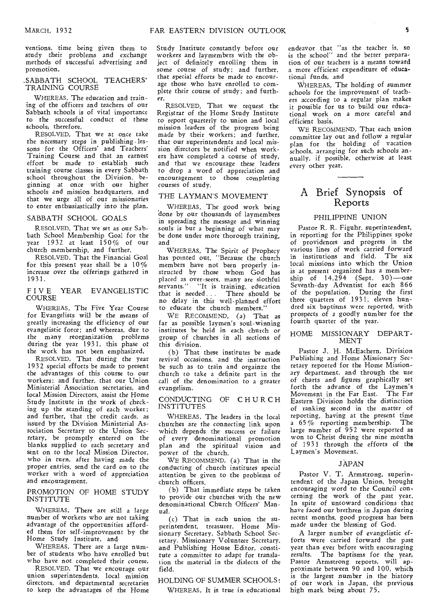ventions, time being given them to study their problems and exchange methods of successful advertising and promotion.

#### .SABBATH SCHOOL TEACHERS' TRAINING COURSE

WHEREAS, The education and training of the officers and teachers of our Sabbath schools is of vital importance to the successful *conduct* of these schools; therefore,

RESOLVED, That we at once take the necessary steps in publishing -lessons for the Officers' and Teachers' Training Course and that an earnest effort be made to establish such training course classes in every Sabbath school throughout the Division, beginning at once with our higher schools and mission headquarters, and that we urge all of our missionaries to enter enthusiastically into the plan.

#### SABBATH SCHOOL GOALS

RESOLVED, That we set as our Sabbath School Membership Goal for the year 1932 at least  $150\%$  of our church membership, and further,

RESOLVED, That the Financial Goal for this present year shall be a 10% increase over the offerings gathered in 1931.

#### FIVE YEAR EVANGELISTIC COURSE

WHEREAS, The Five Year Course for Evangelists will be the means of greatly increasing the efficiency of our evangelistic force; and whereas, due to the many reorganization problems during the year 1931, this phase of the work has not been emphasized,

RESOLVED, That during the year 1932 special efforts be made to present the advantages of this course to our workers; and further, that our Union Ministerial Association secretaries, and local Mission Directors, assist the Home Study Institute in the work of checking up the standing of each worker; and further, that the credit cards, as issued by the Division Ministerial Association Secretary to the Union Secretary, be promptly entered on the blanks supplied to each secretary and sent on to the local Mission Director, who in turn, after having made the proper entries, send the card on to the worker with a word of appreciation and encouragement.

#### PROMOTION OF HOME STUDY INSTITUTE

WHEREAS, There are still a large number of workers who are not taking advantage of the opportunities afforded them for self-improvement by the Home Study Institute, and

WHEREAS, There are a large number of students who have enrolled but who have not completed their course,

RESOLVED, That we encourage our union superintendents, local mission directors, and departmental secretaries to keep the advantages of the Home Study Institute constantly before our workers and laymembers with the object of definitely enrolling them in some course of study; and further, that special efforts be made to encourage those who have enrolled to complete their course of study; and further,

RESOLVED, That we request the Registrar of the Home Study Institute to report quarterly to union and local mission leaders of the progress being made by their workers; and further, that our superintendents and local mission directors be notified when workers have completed a course of study, and that we encourage these leaders to drop a word of appreciation and encouragement to those completing courses of *study.* 

#### THE LAYMAN'S MOVEMENT

WHEREAS, The good work being done by our thousands of laymembers in spreading the message and winning souls is but a beginning of what may be done under more thorough training, and

WHEREAS, The Spirit of Prophecy has pointed out, "Because the church members have not been properly instructed by those whom God has placed as over-seers, many are slothful servants." "It is training, education that is needed . . There should be no delay in this well-planned effort to educate the church members."

WE RECOMMEND, (a) That as far as possible laymen's soul-winning institutes be held in each church or group of *churches* in all sections of this division.

(b) That these institutes be made revival occasions, and the instruction be such as to train and orgainze the church to take a definite part in the *call* of the denomination to a greater evangelism.

#### CONDUCTING OF CHURCH INSTITUTES

WHEREAS, The leaders in the local churches are the connecting link upon which depends the success or failure of every denominational promotion plan and the spiritual vision and power of the church,

WE RECOMMEND, (a) That in the conducting of church institutes special attention be given to the problems of church officers.

(b) That immediate steps be taken to provide our churches with the new denominational Church Officers' Manual.

(c) That in each union the superintendent, treasurer, Home Missionary Secretary, Sabbath School *Secretary,* Missionary Volunteer Secretary, and Publishing House Editor, constitute a committee to adapt for *translation* the material in the dialects of the field.

#### HOLDING OF SUMMER SCHOOLS:

WHEREAS, It is true in educational

endeavor that "as the teacher is, so is the school" and the better preparation of our teachers is a means toward a more efficient expenditure of educational funds, and

WHEREAS, The holding of summer schools for the improvement of teachers according to a regular plan makes it possible for us to build our educational work on a more careful and efficient basis.

WE RECOMMEND, That each union committee lay out and follow a regular plan for the holding of vacation schools, arranging for such schools annually, if possible, otherwise at least every other year.

#### A Brief Synopsis of Reports

#### PHILIPPINE UNION

Pastor R. R. Figuhr, superintendent, in reporting for the Philippines spoke of providences and progress in the various *lines* of work carried forward in institutions and field. The six local missions into which the Union is at present organized has a membership of 14,294 (Sept. 30)—one Seventh-day Adventist for each 866 of the population. During the first three quarters of 1931, eleven hundred six baptisms were reported, with prospects of a goodly number for the fourth quarter of the year.

#### HOME MISSIONARY DEPART-MENT

Pastor J. H. McEachern, Division Publishing and Home Missionary Secretary reported for the Home Missionary department, and through the use of charts and figures graphically set forth the advance of the Laymen's Movement in the Far East. The Far Eastern Division bolds the distinction of ranking second in the matter of reporting, having at the present time a 65 % reporting membership. large number of 952 were reported as won to Christ during the nine months of 1931 through the efforts of the Laymen's Movement.

#### JAPAN

Pastor V. T. Armstrong, superintendent of the Japan Union, brought encouraging word to the Council concerning the work of the past year. In spite of untoward conditions that have faced our brethren in Japan during recent months, good progress has been made under the blessing of God.

A larger number of evangelistic efforts were carried forward the past year than ever before with encouraging *results.* The baptisms for the year, Pastor Armstrong reports, will approximate between 90 and 100, which is the *largest* number in the history of our work in Japan, the previous high mark being about 75.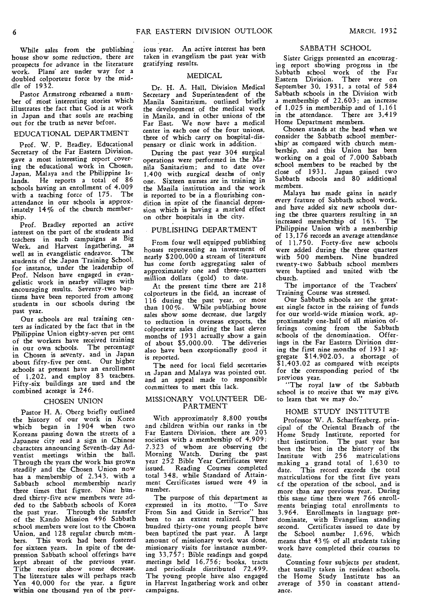While sales from the publishing house show some reduction, there are prospects for advance in the literature work. Plans' are under way for a doubled colporteur force by the middle of 1932.

Pastor Armstrong rehearsed a number of most interesting stories which illustrates the fact that God is at work in Japan and that souls are reaching out for the truth as never before.

#### EDUCATIONAL DEPARTMENT

Prof. W. P. Bradley, Educational Secretary of the Far Eastern Division, gave a most interesting report covering the educational work in Chosen, Japan, Malaya and the Philippine Is-He reports a total of 86 schools having an enrollment of 4,009 with a teaching force of 175. The attendance in our schools is approximately 14% of the church membership.

Prof. Bradley reported an active interest on the part of the students and teachers in such campaigns as Big Week, and Harvest Ingathering, as well as in evangelistic endeavor. students of the Japan Training School, for instance, under the leadership of Prof. Nelson have engaged in evangelistic work in nearby villages with encouraging results. Seventy -two baptisms have been reported from among students in our schools during the past year.

Our schools are real training centers as indicated by the fact that in the Philippine Union eighty-seven per cent of the workers have received training in our own schools. The percentage in Chosen is seventy, and in Japan about fifty-five per cent. Our higher schools at present have an enrollment of 1,202, and employ 83 teachers, Fifty-six buildings are used and the combined acreage is 246.

#### CHOSEN UNION

Pastor H. A. Oberg briefly outlined the history of our work in Korea which began in 1904 when two Koreans passing down the streets of a Japanese city read a sign in Chinese characters announcing Seventh-day Adventist meetings within the hall. Through the years the work has grown steadily and the Chosen Union now has a membership of 2,343, with a Sabbath school membership nearly three times that figure. Nine hundred thirty-five new members were ad. ded to the Sabbath schools of Korea the past year. Through the transfer of the Kando Mission 496 Sabbath school members were lost to the Chosen Union, and 128 regular church members. This work had been fostered for sixteen years. In spite of the depression Sabbath school offerings have kept abreast of the previous year. Tithe receipts show some decrease. The literature sales will perhaps reach Yen 40,000 for the year, a figure within one thousand yen of the prev-

ious year. An active interest has been taken in evangelism the past year with gratifying results.

#### MEDICAL

Dr. H. A. Hall, Division Medical Secretary and Superintendent of the Manila Sanitarium, outlined briefly the development of the medical work in Manila, and in other unions of the Far East. We now have a medical center in each one of the four unions, three of which carry on hospital-dispensary or clinic work in addition.

During the past year 304 surgical operations were performed in the Manila Sanitarium; and to date over 1,400 with surgical deaths of only one. Sixteen nurses are in training in the Manila institution and the work is reported to be in a flourishing condition in spite of the financial depression which is having a marked effect on other hospitals in the city.

#### PUBLISHING DEPARTMENT

From four well equipped publishing houses representing an investment of nearly \$200,000 a stream of literature has come forth aggregating sales of approximately one and three-quarters million dollars (gold) to date.

At the present time there are 218 colporteurs in the field, an increase of 116 during the past year, or more than 100 *%* . While publishing house *sales* show some decrease, due largely to reduction in overseas exports, the colporteur sales during the last eleven months of 1931 actually show a gain of about \$5,000.00. The deliveries also have been exceptionally good it is reported.

The need for local field secretaries in Japan and Malaya was pointed out, and an appeal made to responsible committees to meet this lack.

#### MISSIONARY VOLUNTEER DE-PARTMENT

With approximately 8,800 youths and children within our ranks in the Far Eastern Division, there are 203 societies with a membership of 4,909; 2,323 of whom are observing the Morning Watch. During the past year 252 Bible Year Certificates were issued. Reading Courses completed total 348, while Standard of Attainment Certificates issued were 49 in number.

The purpose of this department as expressed in its motto, "To Save From Sin and Guide in Service" has been to an extent realized. Three hundred thirty-one young people have been baptized the past year. A large amount of missionary work was done, missionary visits for instance numbering 33,757; Bible readings and gospel meetings held 16,756; books, tracts and periodicals distributed 72,499. The young people have also engaged in Harvest Ingathering work and other campaigns.

#### SABBATH SCHOOL

Sister Griggs presented an encouraging report showing progress in the Sabbath school work of the Far Eastern Division. There were on September 30, 1931, a total of 584 Sabbath schools in the Division with a membership of 22,603; an increase of 1,025 in membership and of 1,161 in the attendance. There are 3,419 Home Department members.

Chosen stands at the head when we consider the Sabbath school membership' as compared with church membership, and this Union has been working on a goal of 7,000 Sabbath school members to be reached by the close of 1931. Japan gained two Sabbath schools and 80 additional members.

Malaya has made gains in nearly every feature of Sabbath school work, and have added six new schools during the three quarters resulting in an increased membership of 163. The Philippine Union with a membership of 13,176 records an average attendance of 11,750. Forty-five new schools were added during the three quarters with 500 members. Nine hundred twenty-two Sabbath school members were baptised and united with the church.

The importance of the Teachers' Training Course was stressed.

Our Sabbath schools are the greatest single factor in the raising of funds for our world-wide mission work, approximately one-half of all mission offerings coming from the Sabbath schools of the denomination. Offerings in the Far Eastern Division during the first nine months of 1931 aggregate \$14,902.03, a shortage of  $$1,403.02$  as compared with receipts for the corresponding period of the previous year.

"The royal law of the Sabbath school is to receive that we may give, to learn that we may do."

#### HOME STUDY INSTITUTE

Professor W. A. Scharffenberg, principal of the Oriental Branch of the Home Study Institute, reported for that institution. The past year has been the best in the history of the Institute with 256 matriculations making a grand total of 1,630 to date. This record exceeds the total matriculations for the first five years cf the operation of the school, and is more than any previous year. During this same time there were 766 enrollments bringing total enrollments to 3,964. Enrollments in language predominate, with Evangelism standing second. Certificates issued to date by the School number 1,696, which means that 43 % of all students taking work have completed their courses to date.

Counting four subjects per student, that usually taken in resident schools, the Home Study Institute has an average of 350 in constant attendance.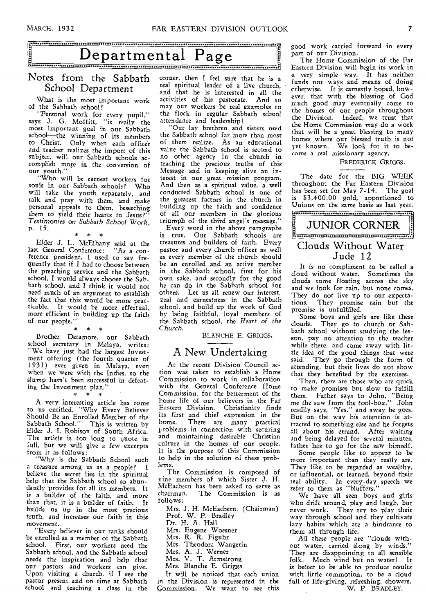## **Departmental Page**

#### Notes from the Sabbath School Department

What is the most important work of the Sabbath school?

"Personal work for every pupil," says J. G. Moffitt, "is really the most important goal in our Sabbath school—the winning of its members to Christ. Only when each officer and teacher realizes the import of this subject, will our Sabbath schools accomplish more in the conversion of our youth."

"Who will be earnest workers for souls in our Sabbath schools? Who will take the youth separately, and talk and pray with them, and make personal appeals to them, beseeching them to yield their hearts to Jesus?" *Testimonies* on *Sabbath School* Work, p. 15. \* \* \*

Elder J. L. McElhany said at the last General Conference: "As a conference president, I used to say frequently that if I had to choose between the preaching service and the Sabbath school, I would always choose the Sabbath school, and I think it would not need much of an argument to establish the fact that this would be more practicable. It would be more effectual, more efficient in building up the faith of our people."

\* \* \* Brother Detamore, our Sabbath school secretary in Malaya, writes: "We have just had the largest Investment offering (the fourth quarter of 1931) ever given in Malaya, even when we were with the Indies, so the slump hasn't been successful in defeat-

ing the Investment plan."<br> $* * * *$ A very interesting article has come to us entitled, "Why Every Believer Should Be an Enrolled Member of the Sabbath School." This is written by Elder J. I. Robison of South Africa. The article is too long to quote in full, but we will give a few excerpts

from it as follows: "Why is the Sabbath School such a treasure among us as a people? I believe the secret lies in the spiritual help that the Sabbath school so abundantly provides for all its members. It is a builder of the faith, and more than that, it is a builder of faith. It builds us up in the most precious truth, and increases our faith in this movement.

"Every believer in our ranks should be enrolled as a member of the Sabbath school. First, our workers need the Sabbath school, and the Sabbath school needs the inspiration and help that our pastors and workers can give. Upon visiting a church, if I see the pastor present and on time at Sabbath school and teaching a class in the

corner, then I feel sure that he is a real spiritual leader of a live church, and that he is interested in all the activities of his pastorate. And so may our workers be real examples to the flock in regular Sabbath school attendance and leadership!

"Our lay brethren and sisters need the Sabbath school far more than most of them realize. As an educational value the Sabbath school is second to no other agency in the church in teaching the precious truths of this Message and in keeping alive an interest in our great mission program. And then as a spiritual value, a well conducted Sabbath school is one of the greatest factors in the church in building up the faith and confidence of all our members in the glorious triumph of the third angel's message."

Every word in the above paragraphs is true. Our Sabbath schools are treasures and builders of faith. Every pastor and every church officer as well as every member of the church should be an enrolled and an active member in the Sabbath school, first for his own sake, and secondly for the good he can do in the Sabbath school for others. Let us all renew our interest, zeal and earnestness in the Sabbath school, and build up the work of God by being faithful, loyal members of the Sabbath school, the *Heart of the Church.* 

BLANCHE E. GRIGGS.

#### A New Undertaking

At the recent Division Council action was taken to establish a Home Commission to work in collaboration with the General Conference Home Commission, for the betterment of the borne life of our believers in the Far Eastern Division. Christianity finds its first and chief expression in the home. There are many practical problems in connection with securing and maintaining desirable Christian culture in the homes of our people. It is the purpose of this Commission to help in the solution of these problems.

The Commission is composed of nine members of which Sister J. H. McEachern has been asked to serve as The Commission is as follows:

Mrs. J. H. McEachern, (Chairman) Prof. W. P. Bradley Dr. H. A. Hall Mrs. Eugene Woesner Mrs. R. R. Figuhr Mrs. Theodora Wangerin Mrs. A. J. Werner Mrs. V. T. Armstrong Mrs. Blanche E. Griggs It will be noticed that each union

in the Division is represented in the Commission. We want to see this good work carried forward in every part of our Division.

The Home Commission of the Far Eastern Division will begin its work in a very simple way. It has neither funds nor ways and means of doing otherwise. It is earnestly hoped, however, that with the blessing of God much good may eventually come to the homes of our people throughout the Division. Indeed, we trust that the Home Commission may do a work that will be a great blessing to many homes where our blessed truth is not yet known. We look for it to become a real missionary agency.

#### FREDERICK GRIGGS.

The date for the BIG WEEK throughout the Far Eastern Division has been set for May 7-14. The goal is \$3,400.00 gold, apportioned to Unions on the same basis as last year.

JUNIOR CORNER Clouds Without Water Jude 12

It is no compliment to be called a cloud without water. Sometimes the clouds come floating across the sky and we look for rain, but none comes. They do not live up to our expectations. They promise rain but the promise is unfulfilled.

Some boys and girls are like these<br>clouds. They go to church or Sab-They go to church or Sabbath school without studying the lesson, pay no attention to the teacher while there, and come away with little idea of the good things that were said. They go through the form of attending, but their lives do not show that they benefited by the exercises.

Then, there are those who are quick to make promises but slow to fulfill them. Father says to John, "Bring me the *saw* from the tool-box." John readily says, "Yes," and away he goes. But on the way his attention is attracted to something else and he forgets all about his errand. After waiting and being delayed for several minutes, father has to go for the saw himself.

Some people like to appear to be more important than they really are. They like to be regarded as wealthy, or influential, or learned, beyond their real ability. In every-day speech we refer to them as "bluffers."

We have all seen boys and girls who drift around, play and laugh, but never work. They try to play their way through school and they cultivate lazy habits which are a hindrance to them all through life.

All these people are "clouds without water, carried along by winds." They are disappointing to all sensible folk. Much wind but no water! It is better to be able to produce *results*  with little commotion, to be a cloud full of life-giving, refreshing, showers. W. P. BRADLEY.